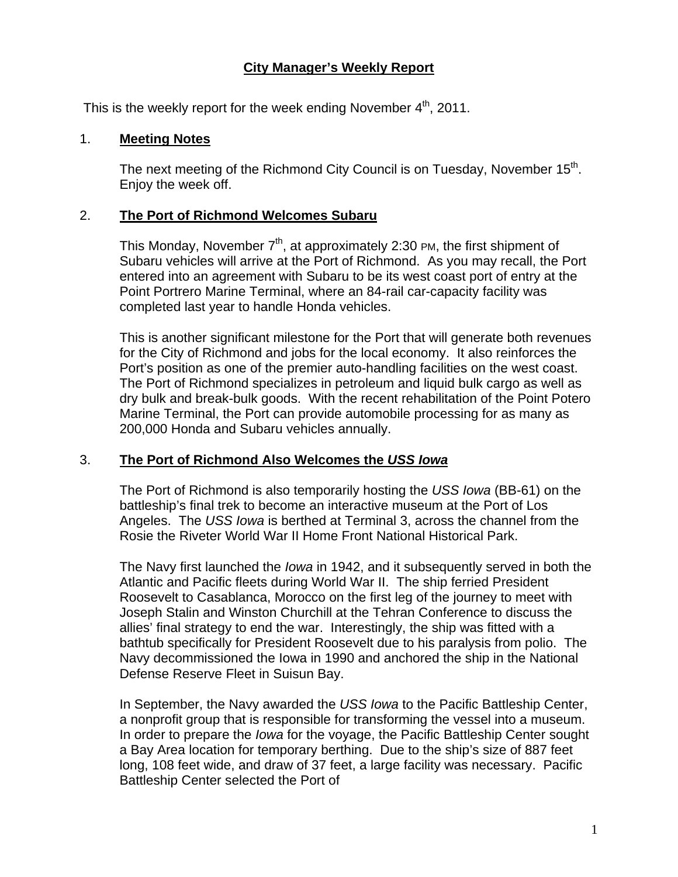### **City Manager's Weekly Report**

This is the weekly report for the week ending November  $4<sup>th</sup>$ , 2011.

### 1. **Meeting Notes**

The next meeting of the Richmond City Council is on Tuesday, November  $15<sup>th</sup>$ . Enjoy the week off.

### 2. **The Port of Richmond Welcomes Subaru**

This Monday, November  $7<sup>th</sup>$ , at approximately 2:30 PM, the first shipment of Subaru vehicles will arrive at the Port of Richmond. As you may recall, the Port entered into an agreement with Subaru to be its west coast port of entry at the Point Portrero Marine Terminal, where an 84-rail car-capacity facility was completed last year to handle Honda vehicles.

This is another significant milestone for the Port that will generate both revenues for the City of Richmond and jobs for the local economy. It also reinforces the Port's position as one of the premier auto-handling facilities on the west coast. The Port of Richmond specializes in petroleum and liquid bulk cargo as well as dry bulk and break-bulk goods. With the recent rehabilitation of the Point Potero Marine Terminal, the Port can provide automobile processing for as many as 200,000 Honda and Subaru vehicles annually.

### 3. **The Port of Richmond Also Welcomes the** *USS Iowa*

The Port of Richmond is also temporarily hosting the *USS Iowa* (BB-61) on the battleship's final trek to become an interactive museum at the Port of Los Angeles. The *USS Iowa* is berthed at Terminal 3, across the channel from the Rosie the Riveter World War II Home Front National Historical Park.

The Navy first launched the *Iowa* in 1942, and it subsequently served in both the Atlantic and Pacific fleets during World War II. The ship ferried President Roosevelt to Casablanca, Morocco on the first leg of the journey to meet with Joseph Stalin and Winston Churchill at the Tehran Conference to discuss the allies' final strategy to end the war. Interestingly, the ship was fitted with a bathtub specifically for President Roosevelt due to his paralysis from polio. The Navy decommissioned the Iowa in 1990 and anchored the ship in the National Defense Reserve Fleet in Suisun Bay.

In September, the Navy awarded the *USS Iowa* to the Pacific Battleship Center, a nonprofit group that is responsible for transforming the vessel into a museum. In order to prepare the *Iowa* for the voyage, the Pacific Battleship Center sought a Bay Area location for temporary berthing. Due to the ship's size of 887 feet long, 108 feet wide, and draw of 37 feet, a large facility was necessary. Pacific Battleship Center selected the Port of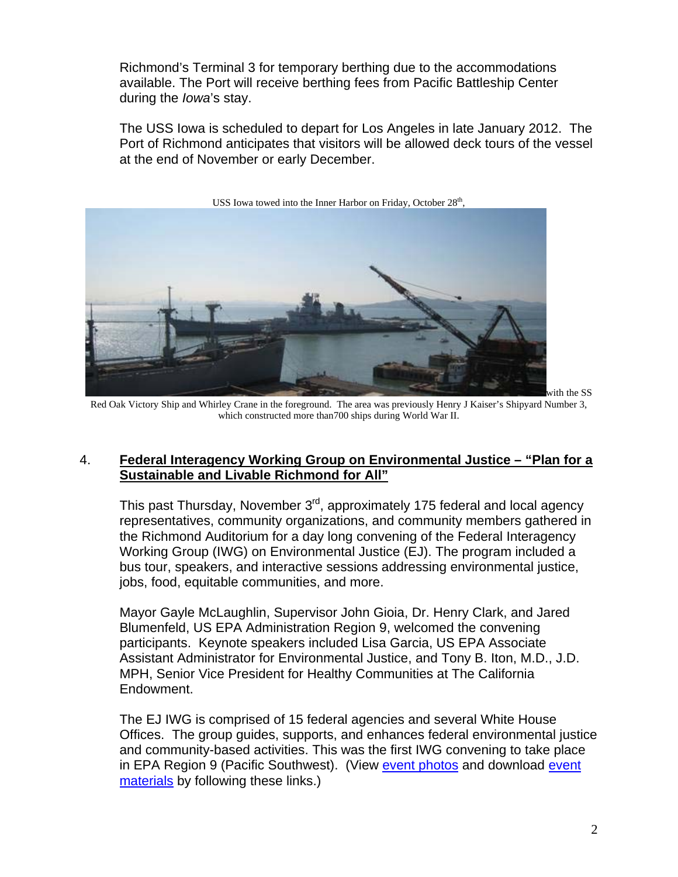Richmond's Terminal 3 for temporary berthing due to the accommodations available. The Port will receive berthing fees from Pacific Battleship Center during the *Iowa*'s stay.

The USS Iowa is scheduled to depart for Los Angeles in late January 2012. The Port of Richmond anticipates that visitors will be allowed deck tours of the vessel at the end of November or early December.



Red Oak Victory Ship and Whirley Crane in the foreground. The area was previously Henry J Kaiser's Shipyard Number 3, which constructed more than700 ships during World War II.

### 4. **Federal Interagency Working Group on Environmental Justice – "Plan for a Sustainable and Livable Richmond for All"**

This past Thursday, November 3<sup>rd</sup>, approximately 175 federal and local agency representatives, community organizations, and community members gathered in the Richmond Auditorium for a day long convening of the Federal Interagency Working Group (IWG) on Environmental Justice (EJ). The program included a bus tour, speakers, and interactive sessions addressing environmental justice, jobs, food, equitable communities, and more.

Mayor Gayle McLaughlin, Supervisor John Gioia, Dr. Henry Clark, and Jared Blumenfeld, US EPA Administration Region 9, welcomed the convening participants. Keynote speakers included Lisa Garcia, US EPA Associate Assistant Administrator for Environmental Justice, and Tony B. Iton, M.D., J.D. MPH, Senior Vice President for Healthy Communities at The California Endowment.

The EJ IWG is comprised of 15 federal agencies and several White House Offices. The group guides, supports, and enhances federal environmental justice and community-based activities. This was the first IWG convening to take place in EPA Region 9 (Pacific Southwest). (View [event photos](http://www.flickr.com/photos/richmondenvironment/sets/72157628053057456/) and download event [materials](http://www.ci.richmond.ca.us/index.aspx?NID=2527) by following these links.)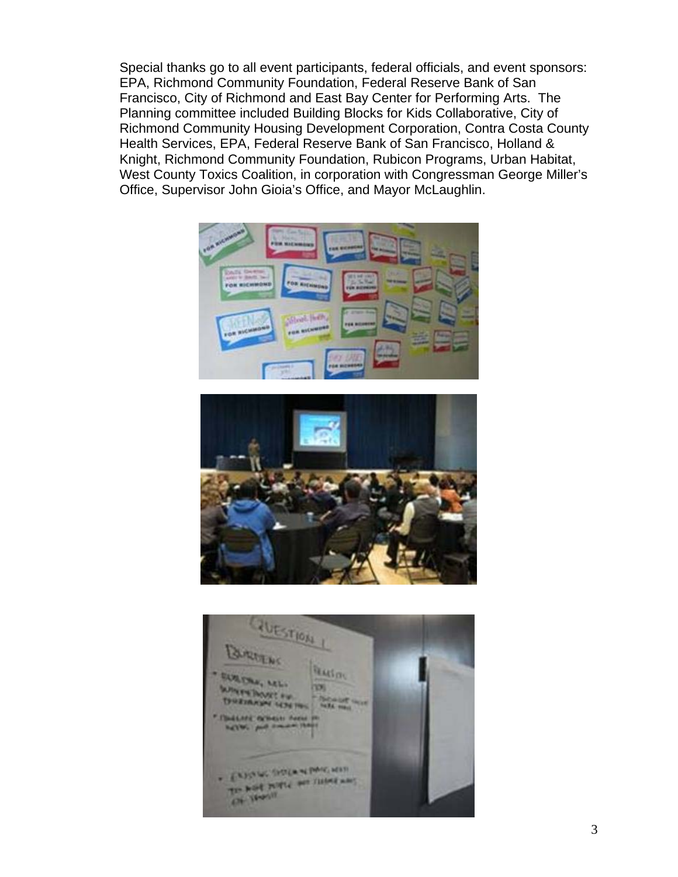Special thanks go to all event participants, federal officials, and event sponsors: EPA, Richmond Community Foundation, Federal Reserve Bank of San Francisco, City of Richmond and East Bay Center for Performing Arts. The Planning committee included Building Blocks for Kids Collaborative, City of Richmond Community Housing Development Corporation, Contra Costa County Health Services, EPA, Federal Reserve Bank of San Francisco, Holland & Knight, Richmond Community Foundation, Rubicon Programs, Urban Habitat, West County Toxics Coalition, in corporation with Congressman George Miller's Office, Supervisor John Gioia's Office, and Mayor McLaughlin.





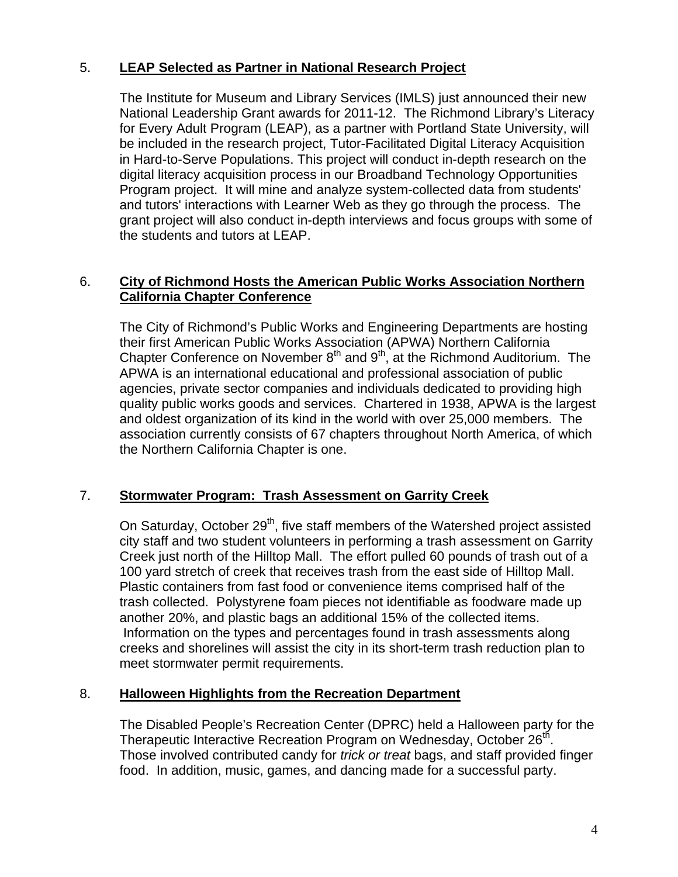## 5. **LEAP Selected as Partner in National Research Project**

The Institute for Museum and Library Services (IMLS) just announced their new National Leadership Grant awards for 2011-12. The Richmond Library's Literacy for Every Adult Program (LEAP), as a partner with Portland State University, will be included in the research project, Tutor-Facilitated Digital Literacy Acquisition in Hard-to-Serve Populations. This project will conduct in-depth research on the digital literacy acquisition process in our Broadband Technology Opportunities Program project. It will mine and analyze system-collected data from students' and tutors' interactions with Learner Web as they go through the process. The grant project will also conduct in-depth interviews and focus groups with some of the students and tutors at LEAP.

## 6. **City of Richmond Hosts the American Public Works Association Northern California Chapter Conference**

The City of Richmond's Public Works and Engineering Departments are hosting their first American Public Works Association (APWA) Northern California Chapter Conference on November  $8<sup>th</sup>$  and  $9<sup>th</sup>$ , at the Richmond Auditorium. The APWA is an international educational and professional association of public agencies, private sector companies and individuals dedicated to providing high quality public works goods and services. Chartered in 1938, APWA is the largest and oldest organization of its kind in the world with over 25,000 members. The association currently consists of 67 chapters throughout North America, of which the Northern California Chapter is one.

# 7. **Stormwater Program: Trash Assessment on Garrity Creek**

On Saturday, October 29<sup>th</sup>, five staff members of the Watershed project assisted city staff and two student volunteers in performing a trash assessment on Garrity Creek just north of the Hilltop Mall. The effort pulled 60 pounds of trash out of a 100 yard stretch of creek that receives trash from the east side of Hilltop Mall. Plastic containers from fast food or convenience items comprised half of the trash collected. Polystyrene foam pieces not identifiable as foodware made up another 20%, and plastic bags an additional 15% of the collected items. Information on the types and percentages found in trash assessments along creeks and shorelines will assist the city in its short-term trash reduction plan to meet stormwater permit requirements.

## 8. **Halloween Highlights from the Recreation Department**

The Disabled People's Recreation Center (DPRC) held a Halloween party for the Therapeutic Interactive Recreation Program on Wednesday, October 26<sup>th</sup>. Those involved contributed candy for *trick or treat* bags, and staff provided finger food. In addition, music, games, and dancing made for a successful party.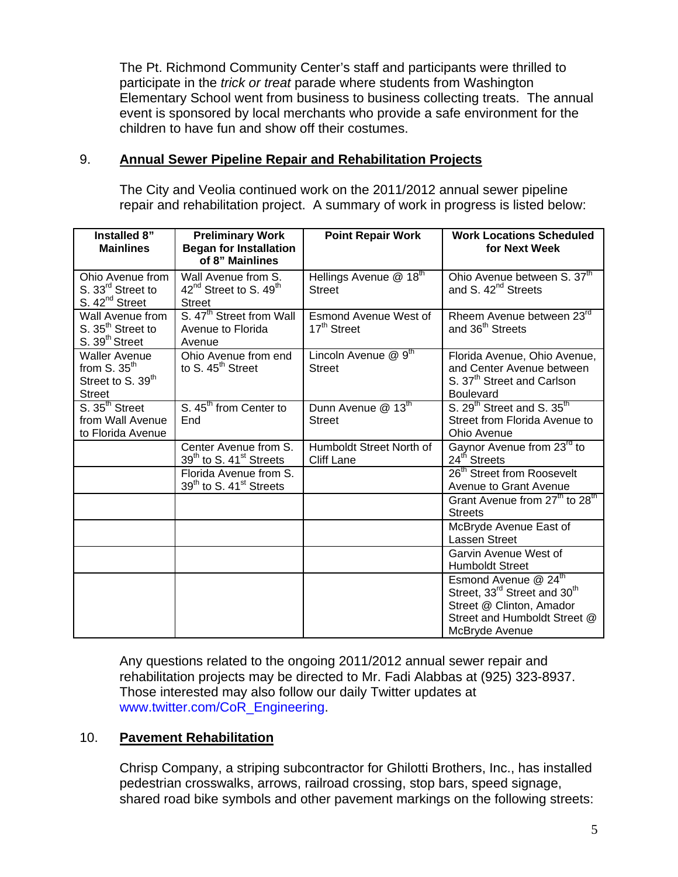The Pt. Richmond Community Center's staff and participants were thrilled to participate in the *trick or treat* parade where students from Washington Elementary School went from business to business collecting treats. The annual event is sponsored by local merchants who provide a safe environment for the children to have fun and show off their costumes.

### 9. **Annual Sewer Pipeline Repair and Rehabilitation Projects**

The City and Veolia continued work on the 2011/2012 annual sewer pipeline repair and rehabilitation project. A summary of work in progress is listed below:

| Installed 8"<br><b>Mainlines</b>                                                         | <b>Preliminary Work</b><br><b>Began for Installation</b><br>of 8" Mainlines            | <b>Point Repair Work</b>                                | <b>Work Locations Scheduled</b><br>for Next Week                                                                                                                       |
|------------------------------------------------------------------------------------------|----------------------------------------------------------------------------------------|---------------------------------------------------------|------------------------------------------------------------------------------------------------------------------------------------------------------------------------|
| Ohio Avenue from<br>S. 33 <sup>rd</sup> Street to<br>S. 42 <sup>nd</sup> Street          | Wall Avenue from S.<br>42 <sup>nd</sup> Street to S. 49 <sup>th</sup><br><b>Street</b> | Hellings Avenue @ 18 <sup>th</sup><br><b>Street</b>     | Ohio Avenue between S. 37th<br>and S. 42 <sup>nd</sup> Streets                                                                                                         |
| Wall Avenue from<br>S. 35 <sup>th</sup> Street to<br>S. 39 <sup>th</sup> Street          | S. 47 <sup>th</sup> Street from Wall<br>Avenue to Florida<br>Avenue                    | <b>Esmond Avenue West of</b><br>17 <sup>th</sup> Street | Rheem Avenue between 23rd<br>and 36 <sup>th</sup> Streets                                                                                                              |
| <b>Waller Avenue</b><br>from $S. 35th$<br>Street to S. 39 <sup>th</sup><br><b>Street</b> | Ohio Avenue from end<br>to S. 45 <sup>th</sup> Street                                  | Lincoln Avenue $@9^{\text{th}}$<br><b>Street</b>        | Florida Avenue, Ohio Avenue,<br>and Center Avenue between<br>S. 37 <sup>th</sup> Street and Carlson<br><b>Boulevard</b>                                                |
| S. 35 <sup>th</sup> Street<br>from Wall Avenue<br>to Florida Avenue                      | S. 45 <sup>th</sup> from Center to<br>End                                              | Dunn Avenue @ 13th<br><b>Street</b>                     | S. 29 <sup>th</sup> Street and S. 35 <sup>th</sup><br>Street from Florida Avenue to<br>Ohio Avenue                                                                     |
|                                                                                          | Center Avenue from S.<br>39 <sup>th</sup> to S. 41 <sup>st</sup> Streets               | Humboldt Street North of<br><b>Cliff Lane</b>           | Gaynor Avenue from 23 <sup>rd</sup> to<br>24 <sup>th</sup> Streets                                                                                                     |
|                                                                                          | Florida Avenue from S.<br>39 <sup>th</sup> to S. 41 <sup>st</sup> Streets              |                                                         | 26 <sup>th</sup> Street from Roosevelt<br>Avenue to Grant Avenue                                                                                                       |
|                                                                                          |                                                                                        |                                                         | Grant Avenue from 27 <sup>th</sup> to 28 <sup>th</sup><br><b>Streets</b>                                                                                               |
|                                                                                          |                                                                                        |                                                         | McBryde Avenue East of<br>Lassen Street                                                                                                                                |
|                                                                                          |                                                                                        |                                                         | Garvin Avenue West of<br><b>Humboldt Street</b>                                                                                                                        |
|                                                                                          |                                                                                        |                                                         | Esmond Avenue @ 24 <sup>th</sup><br>Street, 33 <sup>rd</sup> Street and 30 <sup>th</sup><br>Street @ Clinton, Amador<br>Street and Humboldt Street @<br>McBryde Avenue |

Any questions related to the ongoing 2011/2012 annual sewer repair and rehabilitation projects may be directed to Mr. Fadi Alabbas at (925) 323-8937. Those interested may also follow our daily Twitter updates at [www.twitter.com/CoR\\_Engineering](http://www.twitter.com/CoR_Engineering).

### 10. **Pavement Rehabilitation**

Chrisp Company, a striping subcontractor for Ghilotti Brothers, Inc., has installed pedestrian crosswalks, arrows, railroad crossing, stop bars, speed signage, shared road bike symbols and other pavement markings on the following streets: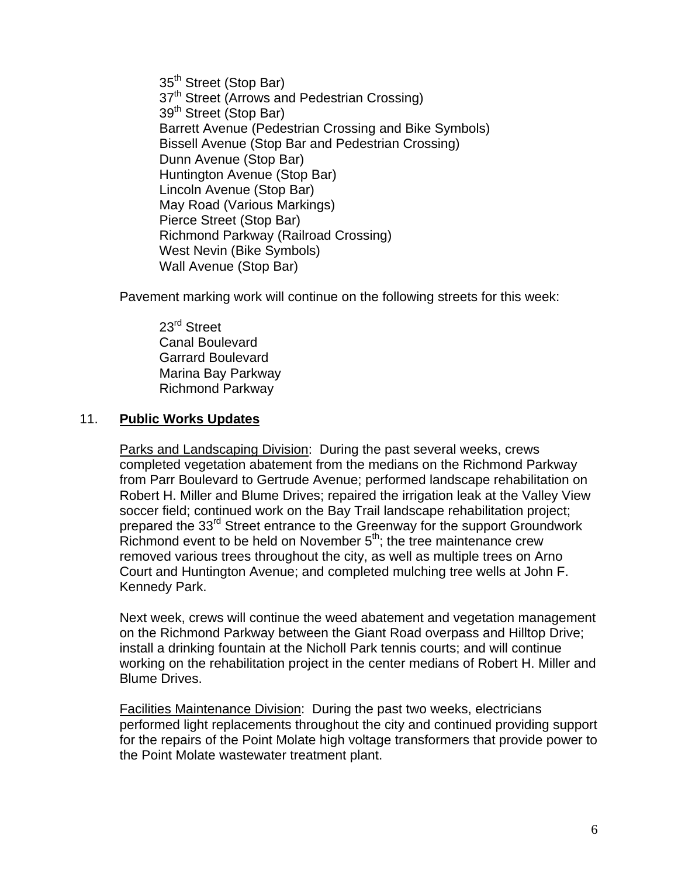35<sup>th</sup> Street (Stop Bar) 37<sup>th</sup> Street (Arrows and Pedestrian Crossing) 39<sup>th</sup> Street (Stop Bar) Barrett Avenue (Pedestrian Crossing and Bike Symbols) Bissell Avenue (Stop Bar and Pedestrian Crossing) Dunn Avenue (Stop Bar) Huntington Avenue (Stop Bar) Lincoln Avenue (Stop Bar) May Road (Various Markings) Pierce Street (Stop Bar) Richmond Parkway (Railroad Crossing) West Nevin (Bike Symbols) Wall Avenue (Stop Bar)

Pavement marking work will continue on the following streets for this week:

23<sup>rd</sup> Street Canal Boulevard Garrard Boulevard Marina Bay Parkway Richmond Parkway

### 11. **Public Works Updates**

Parks and Landscaping Division: During the past several weeks, crews completed vegetation abatement from the medians on the Richmond Parkway from Parr Boulevard to Gertrude Avenue; performed landscape rehabilitation on Robert H. Miller and Blume Drives; repaired the irrigation leak at the Valley View soccer field; continued work on the Bay Trail landscape rehabilitation project; prepared the 33rd Street entrance to the Greenway for the support Groundwork Richmond event to be held on November 5<sup>th</sup>; the tree maintenance crew removed various trees throughout the city, as well as multiple trees on Arno Court and Huntington Avenue; and completed mulching tree wells at John F. Kennedy Park.

Next week, crews will continue the weed abatement and vegetation management on the Richmond Parkway between the Giant Road overpass and Hilltop Drive; install a drinking fountain at the Nicholl Park tennis courts; and will continue working on the rehabilitation project in the center medians of Robert H. Miller and Blume Drives.

Facilities Maintenance Division: During the past two weeks, electricians performed light replacements throughout the city and continued providing support for the repairs of the Point Molate high voltage transformers that provide power to the Point Molate wastewater treatment plant.